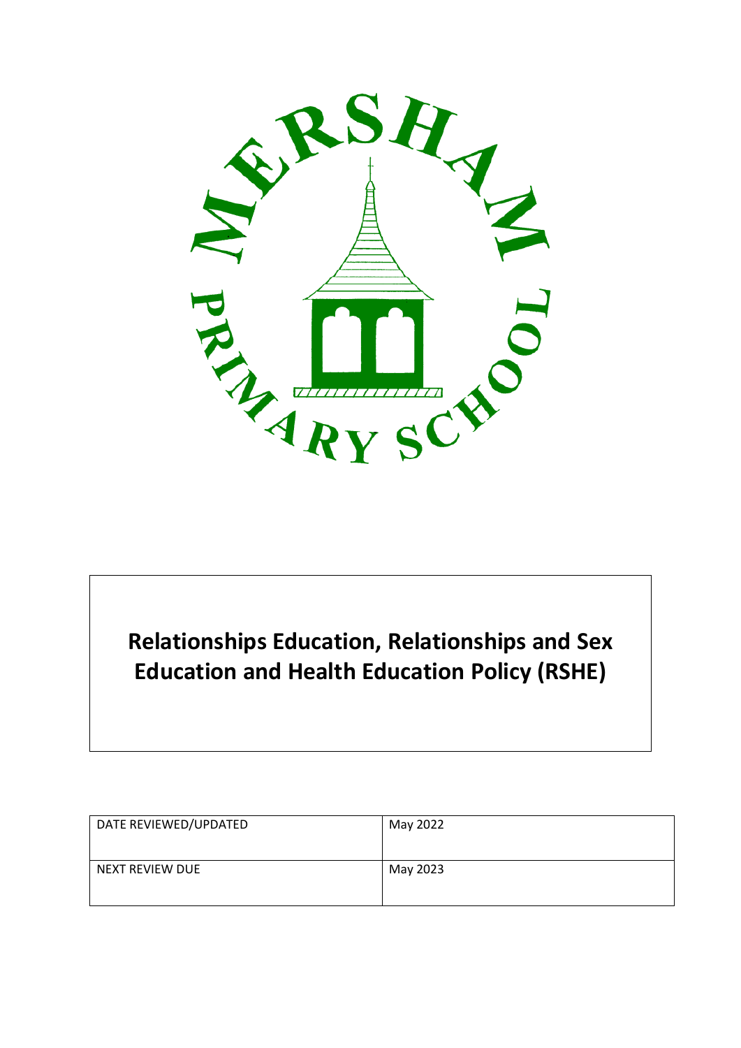

# **Relationships Education, Relationships and Sex Education and Health Education Policy (RSHE)**

| DATE REVIEWED/UPDATED | May 2022 |
|-----------------------|----------|
| NEXT REVIEW DUE       | May 2023 |
|                       |          |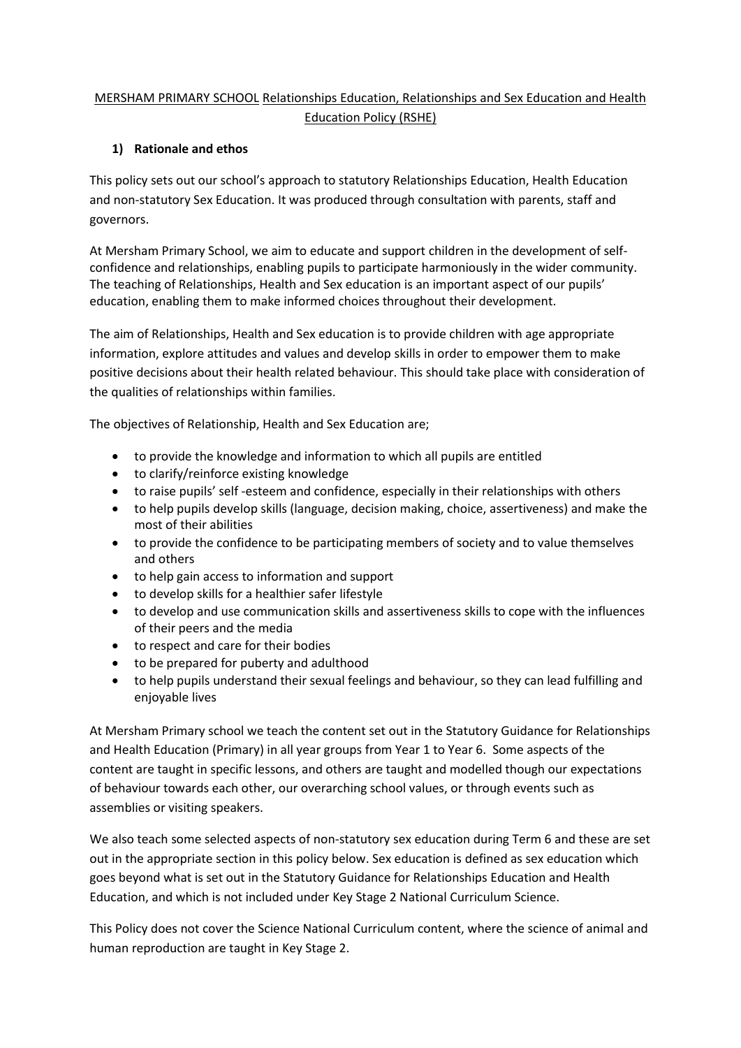# MERSHAM PRIMARY SCHOOL Relationships Education, Relationships and Sex Education and Health Education Policy (RSHE)

## **1) Rationale and ethos**

This policy sets out our school's approach to statutory Relationships Education, Health Education and non-statutory Sex Education. It was produced through consultation with parents, staff and governors.

At Mersham Primary School, we aim to educate and support children in the development of selfconfidence and relationships, enabling pupils to participate harmoniously in the wider community. The teaching of Relationships, Health and Sex education is an important aspect of our pupils' education, enabling them to make informed choices throughout their development.

The aim of Relationships, Health and Sex education is to provide children with age appropriate information, explore attitudes and values and develop skills in order to empower them to make positive decisions about their health related behaviour. This should take place with consideration of the qualities of relationships within families.

The objectives of Relationship, Health and Sex Education are;

- to provide the knowledge and information to which all pupils are entitled
- to clarify/reinforce existing knowledge
- to raise pupils' self -esteem and confidence, especially in their relationships with others
- to help pupils develop skills (language, decision making, choice, assertiveness) and make the most of their abilities
- to provide the confidence to be participating members of society and to value themselves and others
- to help gain access to information and support
- to develop skills for a healthier safer lifestyle
- to develop and use communication skills and assertiveness skills to cope with the influences of their peers and the media
- to respect and care for their bodies
- to be prepared for puberty and adulthood
- to help pupils understand their sexual feelings and behaviour, so they can lead fulfilling and enjoyable lives

At Mersham Primary school we teach the content set out in the Statutory Guidance for Relationships and Health Education (Primary) in all year groups from Year 1 to Year 6. Some aspects of the content are taught in specific lessons, and others are taught and modelled though our expectations of behaviour towards each other, our overarching school values, or through events such as assemblies or visiting speakers.

We also teach some selected aspects of non-statutory sex education during Term 6 and these are set out in the appropriate section in this policy below. Sex education is defined as sex education which goes beyond what is set out in the Statutory Guidance for Relationships Education and Health Education, and which is not included under Key Stage 2 National Curriculum Science.

This Policy does not cover the Science National Curriculum content, where the science of animal and human reproduction are taught in Key Stage 2.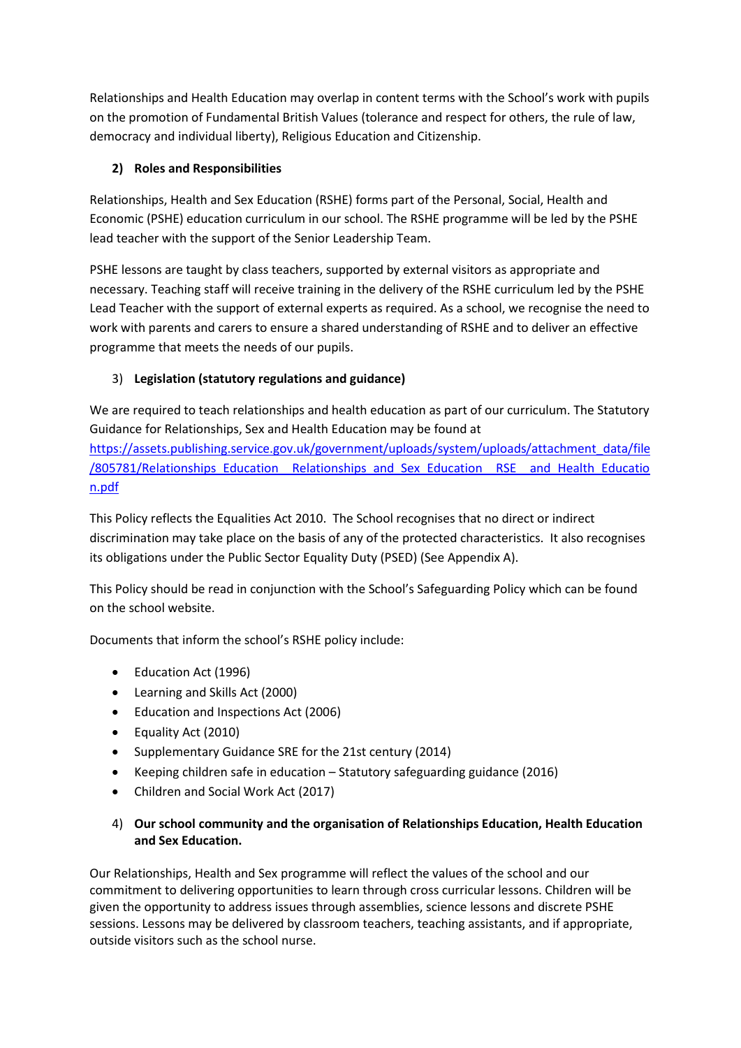Relationships and Health Education may overlap in content terms with the School's work with pupils on the promotion of Fundamental British Values (tolerance and respect for others, the rule of law, democracy and individual liberty), Religious Education and Citizenship.

# **2) Roles and Responsibilities**

Relationships, Health and Sex Education (RSHE) forms part of the Personal, Social, Health and Economic (PSHE) education curriculum in our school. The RSHE programme will be led by the PSHE lead teacher with the support of the Senior Leadership Team.

PSHE lessons are taught by class teachers, supported by external visitors as appropriate and necessary. Teaching staff will receive training in the delivery of the RSHE curriculum led by the PSHE Lead Teacher with the support of external experts as required. As a school, we recognise the need to work with parents and carers to ensure a shared understanding of RSHE and to deliver an effective programme that meets the needs of our pupils.

# 3) **Legislation (statutory regulations and guidance)**

We are required to teach relationships and health education as part of our curriculum. The Statutory Guidance for Relationships, Sex and Health Education may be found at [https://assets.publishing.service.gov.uk/government/uploads/system/uploads/attachment\\_data/file](https://assets.publishing.service.gov.uk/government/uploads/system/uploads/attachment_data/file/805781/Relationships_Education__Relationships_and_Sex_Education__RSE__and_Health_Education.pdf) [/805781/Relationships\\_Education\\_\\_Relationships\\_and\\_Sex\\_Education\\_\\_RSE\\_\\_and\\_Health\\_Educatio](https://assets.publishing.service.gov.uk/government/uploads/system/uploads/attachment_data/file/805781/Relationships_Education__Relationships_and_Sex_Education__RSE__and_Health_Education.pdf) [n.pdf](https://assets.publishing.service.gov.uk/government/uploads/system/uploads/attachment_data/file/805781/Relationships_Education__Relationships_and_Sex_Education__RSE__and_Health_Education.pdf)

This Policy reflects the Equalities Act 2010. The School recognises that no direct or indirect discrimination may take place on the basis of any of the protected characteristics. It also recognises its obligations under the Public Sector Equality Duty (PSED) (See Appendix A).

This Policy should be read in conjunction with the School's Safeguarding Policy which can be found on the school website.

Documents that inform the school's RSHE policy include:

- Education Act (1996)
- Learning and Skills Act (2000)
- Education and Inspections Act (2006)
- Equality Act (2010)
- Supplementary Guidance SRE for the 21st century (2014)
- Keeping children safe in education Statutory safeguarding guidance (2016)
- Children and Social Work Act (2017)
- 4) **Our school community and the organisation of Relationships Education, Health Education and Sex Education.**

Our Relationships, Health and Sex programme will reflect the values of the school and our commitment to delivering opportunities to learn through cross curricular lessons. Children will be given the opportunity to address issues through assemblies, science lessons and discrete PSHE sessions. Lessons may be delivered by classroom teachers, teaching assistants, and if appropriate, outside visitors such as the school nurse.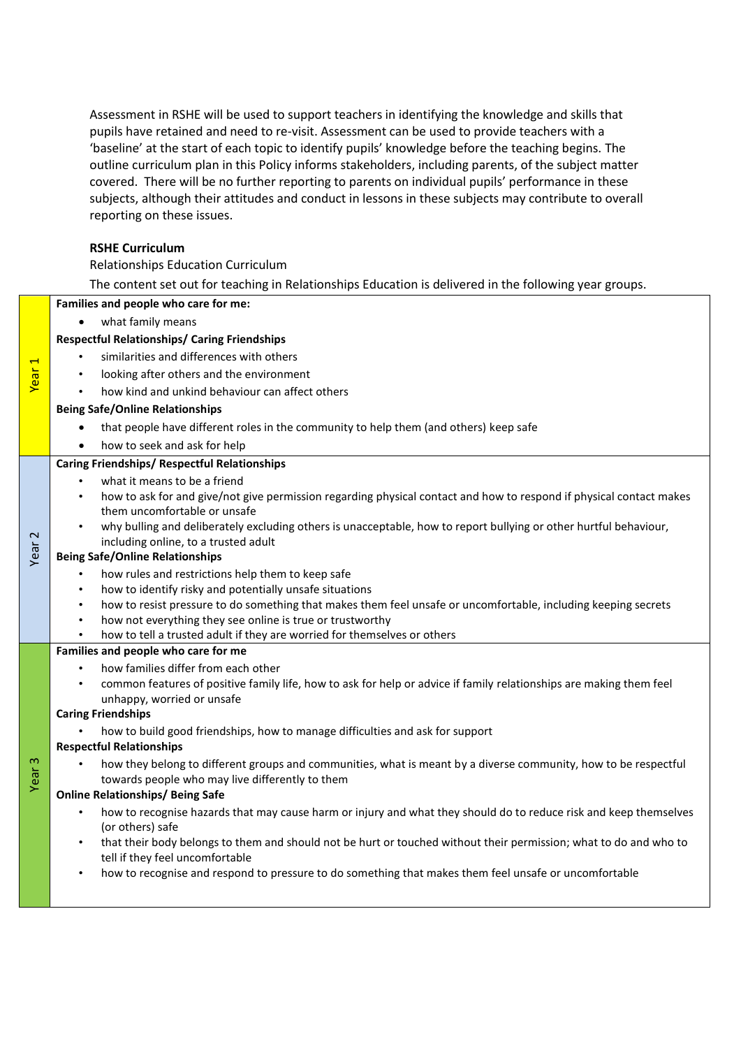Assessment in RSHE will be used to support teachers in identifying the knowledge and skills that pupils have retained and need to re-visit. Assessment can be used to provide teachers with a 'baseline' at the start of each topic to identify pupils' knowledge before the teaching begins. The outline curriculum plan in this Policy informs stakeholders, including parents, of the subject matter covered. There will be no further reporting to parents on individual pupils' performance in these subjects, although their attitudes and conduct in lessons in these subjects may contribute to overall reporting on these issues.

#### **RSHE Curriculum**

## Relationships Education Curriculum

The content set out for teaching in Relationships Education is delivered in the following year groups.

#### **Families and people who care for me:**

what family means

Year 1

Year 2

Year

#### **Respectful Relationships/ Caring Friendships**

- similarities and differences with others
- looking after others and the environment
- how kind and unkind behaviour can affect others

#### **Being Safe/Online Relationships**

- that people have different roles in the community to help them (and others) keep safe
- how to seek and ask for help

#### **Caring Friendships/ Respectful Relationships**

- what it means to be a friend
- how to ask for and give/not give permission regarding physical contact and how to respond if physical contact makes them uncomfortable or unsafe
- why bulling and deliberately excluding others is unacceptable, how to report bullying or other hurtful behaviour, including online, to a trusted adult

#### **Being Safe/Online Relationships**

- how rules and restrictions help them to keep safe
- how to identify risky and potentially unsafe situations
- how to resist pressure to do something that makes them feel unsafe or uncomfortable, including keeping secrets
- how not everything they see online is true or trustworthy
- how to tell a trusted adult if they are worried for themselves or others

#### **Families and people who care for me**

- how families differ from each other
- common features of positive family life, how to ask for help or advice if family relationships are making them feel unhappy, worried or unsafe

## **Caring Friendships**

• how to build good friendships, how to manage difficulties and ask for support

#### **Respectful Relationships**

• how they belong to different groups and communities, what is meant by a diverse community, how to be respectful towards people who may live differently to them

## **Online Relationships/ Being Safe**

- how to recognise hazards that may cause harm or injury and what they should do to reduce risk and keep themselves (or others) safe
- that their body belongs to them and should not be hurt or touched without their permission; what to do and who to tell if they feel uncomfortable
- how to recognise and respond to pressure to do something that makes them feel unsafe or uncomfortable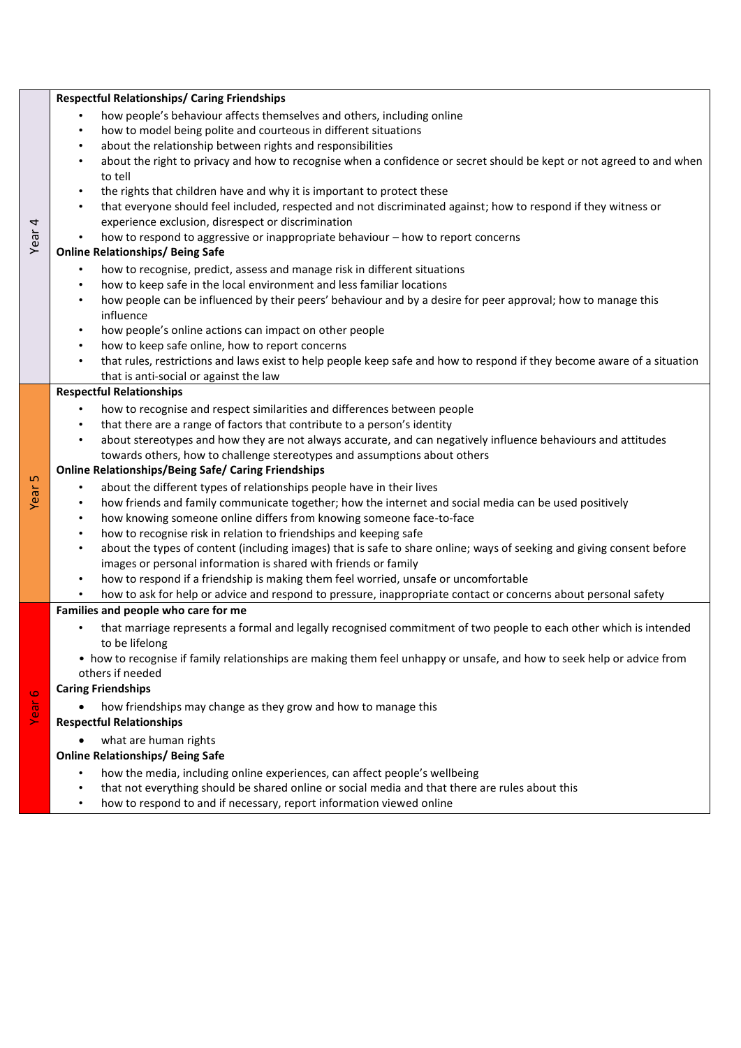|                   | <b>Respectful Relationships/ Caring Friendships</b>                                                                                                                 |
|-------------------|---------------------------------------------------------------------------------------------------------------------------------------------------------------------|
| Year <sub>4</sub> | how people's behaviour affects themselves and others, including online                                                                                              |
|                   | how to model being polite and courteous in different situations<br>$\bullet$                                                                                        |
|                   | about the relationship between rights and responsibilities<br>$\bullet$                                                                                             |
|                   | about the right to privacy and how to recognise when a confidence or secret should be kept or not agreed to and when<br>$\bullet$<br>to tell                        |
|                   | the rights that children have and why it is important to protect these<br>$\bullet$                                                                                 |
|                   | that everyone should feel included, respected and not discriminated against; how to respond if they witness or<br>$\bullet$                                         |
|                   | experience exclusion, disrespect or discrimination                                                                                                                  |
|                   | how to respond to aggressive or inappropriate behaviour - how to report concerns                                                                                    |
|                   | <b>Online Relationships/ Being Safe</b>                                                                                                                             |
|                   | how to recognise, predict, assess and manage risk in different situations<br>$\bullet$                                                                              |
|                   | how to keep safe in the local environment and less familiar locations<br>$\bullet$                                                                                  |
|                   | how people can be influenced by their peers' behaviour and by a desire for peer approval; how to manage this<br>$\bullet$                                           |
|                   | influence                                                                                                                                                           |
|                   | how people's online actions can impact on other people<br>$\bullet$                                                                                                 |
|                   | how to keep safe online, how to report concerns<br>$\bullet$                                                                                                        |
|                   | that rules, restrictions and laws exist to help people keep safe and how to respond if they become aware of a situation<br>$\bullet$                                |
|                   | that is anti-social or against the law                                                                                                                              |
|                   | <b>Respectful Relationships</b>                                                                                                                                     |
|                   | how to recognise and respect similarities and differences between people<br>$\bullet$                                                                               |
|                   | that there are a range of factors that contribute to a person's identity<br>$\bullet$                                                                               |
|                   | about stereotypes and how they are not always accurate, and can negatively influence behaviours and attitudes<br>$\bullet$                                          |
| Year <sub>5</sub> | towards others, how to challenge stereotypes and assumptions about others                                                                                           |
|                   | <b>Online Relationships/Being Safe/ Caring Friendships</b>                                                                                                          |
|                   | about the different types of relationships people have in their lives<br>٠                                                                                          |
|                   | how friends and family communicate together; how the internet and social media can be used positively<br>$\bullet$                                                  |
|                   | how knowing someone online differs from knowing someone face-to-face<br>$\bullet$<br>how to recognise risk in relation to friendships and keeping safe<br>$\bullet$ |
|                   | about the types of content (including images) that is safe to share online; ways of seeking and giving consent before<br>$\bullet$                                  |
|                   | images or personal information is shared with friends or family                                                                                                     |
|                   | how to respond if a friendship is making them feel worried, unsafe or uncomfortable<br>$\bullet$                                                                    |
|                   | how to ask for help or advice and respond to pressure, inappropriate contact or concerns about personal safety                                                      |
|                   | Families and people who care for me                                                                                                                                 |
|                   | that marriage represents a formal and legally recognised commitment of two people to each other which is intended<br>$\bullet$                                      |
|                   | to be lifelong                                                                                                                                                      |
|                   | • how to recognise if family relationships are making them feel unhappy or unsafe, and how to seek help or advice from                                              |
|                   | others if needed                                                                                                                                                    |
| Year <sub>6</sub> | <b>Caring Friendships</b>                                                                                                                                           |
|                   | how friendships may change as they grow and how to manage this<br><b>Respectful Relationships</b>                                                                   |
|                   | what are human rights                                                                                                                                               |
|                   | <b>Online Relationships/ Being Safe</b>                                                                                                                             |
|                   | how the media, including online experiences, can affect people's wellbeing<br>٠                                                                                     |
|                   | that not everything should be shared online or social media and that there are rules about this<br>٠                                                                |
|                   |                                                                                                                                                                     |

• how to respond to and if necessary, report information viewed online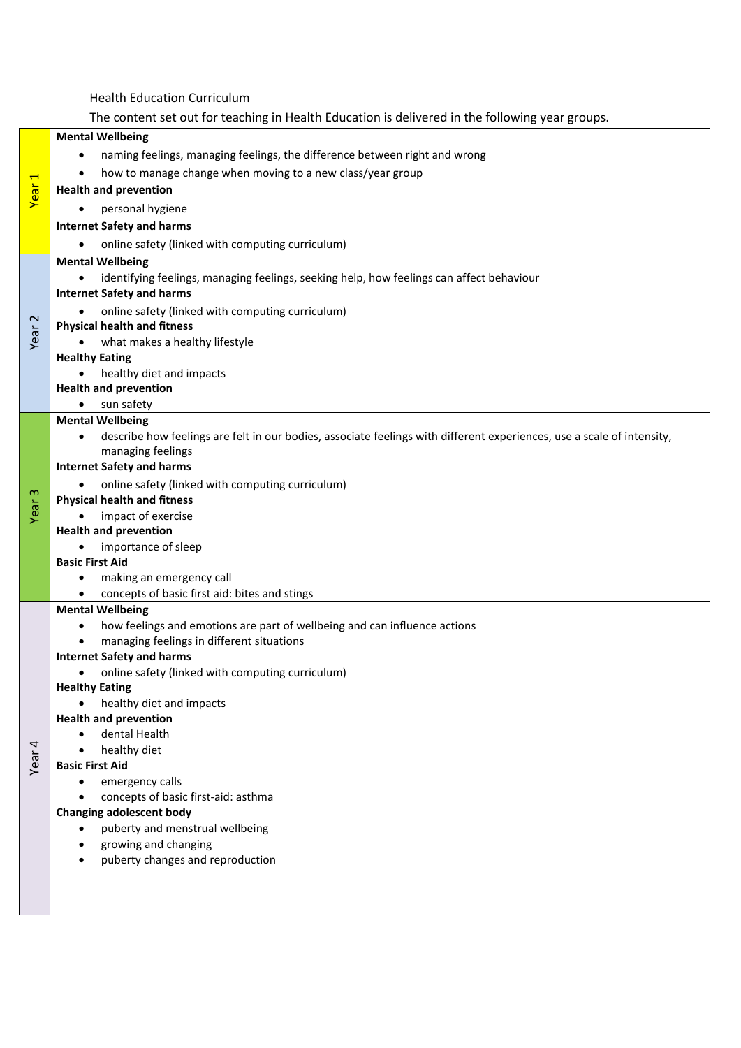Health Education Curriculum The content set out for teaching in Health Education is delivered in the following year groups. Year 1 **Mental Wellbeing** naming feelings, managing feelings, the difference between right and wrong how to manage change when moving to a new class/year group **Health and prevention** • personal hygiene **Internet Safety and harms** online safety (linked with computing curriculum) Year 2 **Mental Wellbeing** identifying feelings, managing feelings, seeking help, how feelings can affect behaviour **Internet Safety and harms** • online safety (linked with computing curriculum) **Physical health and fitness** what makes a healthy lifestyle **Healthy Eating** healthy diet and impacts **Health and prevention** • sun safety Year 3 **Mental Wellbeing** describe how feelings are felt in our bodies, associate feelings with different experiences, use a scale of intensity, managing feelings **Internet Safety and harms** • online safety (linked with computing curriculum) **Physical health and fitness** impact of exercise **Health and prevention** • importance of sleep **Basic First Aid** making an emergency call concepts of basic first aid: bites and stings Year 4 **Mental Wellbeing** how feelings and emotions are part of wellbeing and can influence actions managing feelings in different situations **Internet Safety and harms** • online safety (linked with computing curriculum) **Healthy Eating** healthy diet and impacts **Health and prevention** dental Health • healthy diet **Basic First Aid** • emergency calls concepts of basic first-aid: asthma **Changing adolescent body** • puberty and menstrual wellbeing growing and changing puberty changes and reproduction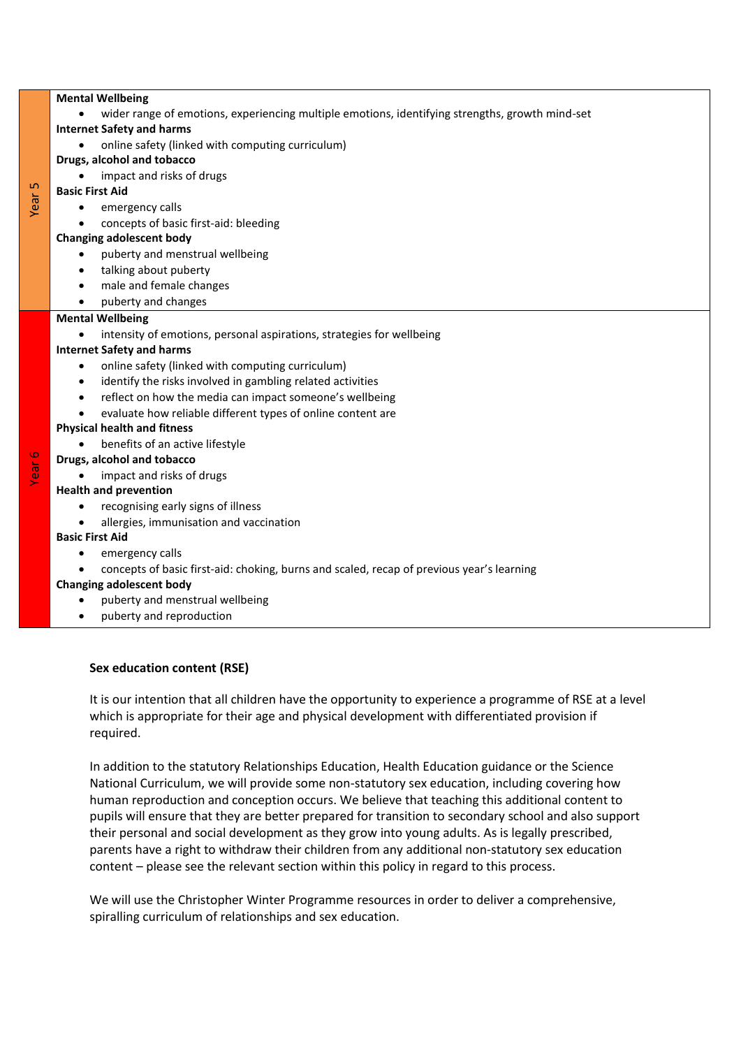| <b>Mental Wellbeing</b> |                                                                                                              |  |  |  |
|-------------------------|--------------------------------------------------------------------------------------------------------------|--|--|--|
|                         | wider range of emotions, experiencing multiple emotions, identifying strengths, growth mind-set<br>$\bullet$ |  |  |  |
|                         | <b>Internet Safety and harms</b>                                                                             |  |  |  |
| ഥ<br>Yeai               | online safety (linked with computing curriculum)                                                             |  |  |  |
|                         | Drugs, alcohol and tobacco                                                                                   |  |  |  |
|                         | impact and risks of drugs                                                                                    |  |  |  |
|                         | <b>Basic First Aid</b>                                                                                       |  |  |  |
|                         | emergency calls<br>$\bullet$                                                                                 |  |  |  |
|                         | concepts of basic first-aid: bleeding                                                                        |  |  |  |
|                         | <b>Changing adolescent body</b>                                                                              |  |  |  |
|                         | puberty and menstrual wellbeing<br>$\bullet$                                                                 |  |  |  |
|                         | talking about puberty<br>$\bullet$                                                                           |  |  |  |
|                         | male and female changes<br>$\bullet$                                                                         |  |  |  |
|                         | puberty and changes<br>$\bullet$                                                                             |  |  |  |
|                         | <b>Mental Wellbeing</b>                                                                                      |  |  |  |
|                         | intensity of emotions, personal aspirations, strategies for wellbeing<br>$\bullet$                           |  |  |  |
|                         | <b>Internet Safety and harms</b>                                                                             |  |  |  |
|                         | online safety (linked with computing curriculum)<br>$\bullet$                                                |  |  |  |
|                         | identify the risks involved in gambling related activities<br>$\bullet$                                      |  |  |  |
|                         | reflect on how the media can impact someone's wellbeing<br>$\bullet$                                         |  |  |  |
|                         | evaluate how reliable different types of online content are                                                  |  |  |  |
|                         | <b>Physical health and fitness</b>                                                                           |  |  |  |
|                         | benefits of an active lifestyle                                                                              |  |  |  |
| Ø<br><u>ក្តី</u>        | Drugs, alcohol and tobacco                                                                                   |  |  |  |
|                         | impact and risks of drugs                                                                                    |  |  |  |
|                         | <b>Health and prevention</b>                                                                                 |  |  |  |
|                         | recognising early signs of illness<br>$\bullet$                                                              |  |  |  |
|                         | allergies, immunisation and vaccination                                                                      |  |  |  |
|                         | <b>Basic First Aid</b>                                                                                       |  |  |  |

emergency calls

concepts of basic first-aid: choking, burns and scaled, recap of previous year's learning

## **Changing adolescent body**

- puberty and menstrual wellbeing
- puberty and reproduction

## **Sex education content (RSE)**

It is our intention that all children have the opportunity to experience a programme of RSE at a level which is appropriate for their age and physical development with differentiated provision if required.

In addition to the statutory Relationships Education, Health Education guidance or the Science National Curriculum, we will provide some non-statutory sex education, including covering how human reproduction and conception occurs. We believe that teaching this additional content to pupils will ensure that they are better prepared for transition to secondary school and also support their personal and social development as they grow into young adults. As is legally prescribed, parents have a right to withdraw their children from any additional non-statutory sex education content – please see the relevant section within this policy in regard to this process.

We will use the Christopher Winter Programme resources in order to deliver a comprehensive, spiralling curriculum of relationships and sex education.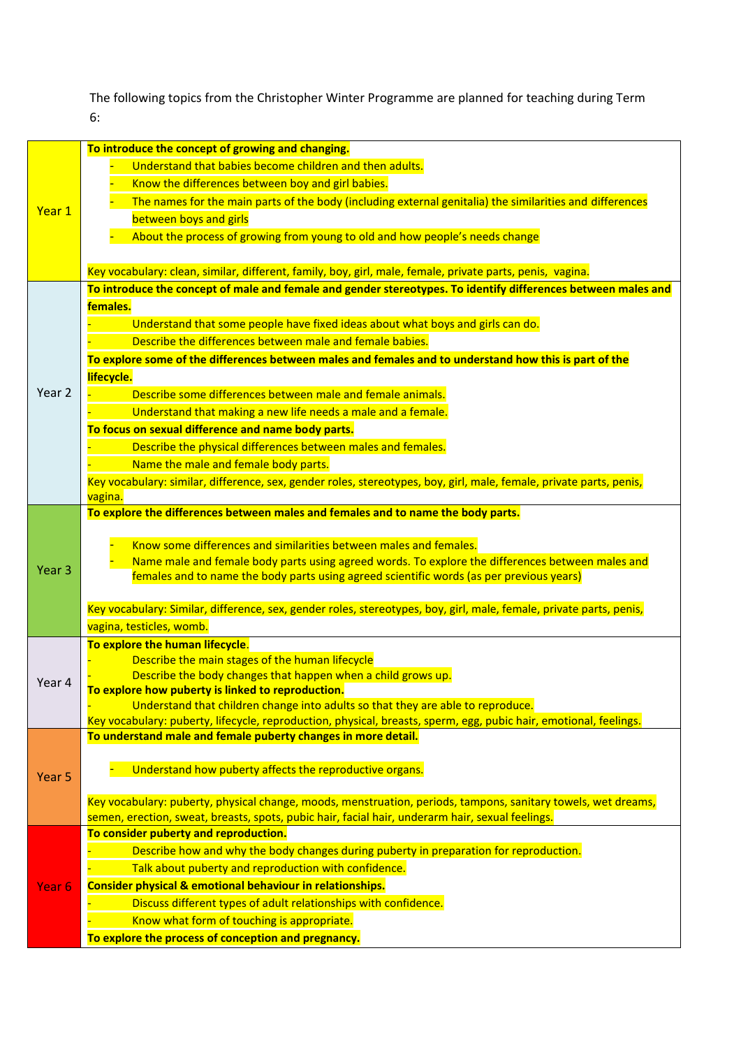The following topics from the Christopher Winter Programme are planned for teaching during Term 6:

|                   | To introduce the concept of growing and changing.                                                                                                                                                                 |
|-------------------|-------------------------------------------------------------------------------------------------------------------------------------------------------------------------------------------------------------------|
|                   | Understand that babies become children and then adults.                                                                                                                                                           |
|                   | Know the differences between boy and girl babies.                                                                                                                                                                 |
| Year 1            | The names for the main parts of the body (including external genitalia) the similarities and differences                                                                                                          |
|                   | between boys and girls                                                                                                                                                                                            |
|                   | About the process of growing from young to old and how people's needs change                                                                                                                                      |
|                   |                                                                                                                                                                                                                   |
|                   | Key vocabulary: clean, similar, different, family, boy, girl, male, female, private parts, penis, vagina.                                                                                                         |
|                   | To introduce the concept of male and female and gender stereotypes. To identify differences between males and                                                                                                     |
|                   | females.                                                                                                                                                                                                          |
|                   | Understand that some people have fixed ideas about what boys and girls can do.                                                                                                                                    |
|                   | Describe the differences between male and female babies.                                                                                                                                                          |
|                   | To explore some of the differences between males and females and to understand how this is part of the                                                                                                            |
|                   | lifecycle.                                                                                                                                                                                                        |
| Year 2            | Describe some differences between male and female animals.                                                                                                                                                        |
|                   | Understand that making a new life needs a male and a female.                                                                                                                                                      |
|                   | To focus on sexual difference and name body parts.                                                                                                                                                                |
|                   | Describe the physical differences between males and females.                                                                                                                                                      |
|                   | Name the male and female body parts.                                                                                                                                                                              |
|                   | Key vocabulary: similar, difference, sex, gender roles, stereotypes, boy, girl, male, female, private parts, penis,                                                                                               |
|                   | vagina.                                                                                                                                                                                                           |
|                   | To explore the differences between males and females and to name the body parts.                                                                                                                                  |
|                   |                                                                                                                                                                                                                   |
|                   | Know some differences and similarities between males and females.                                                                                                                                                 |
| Year <sub>3</sub> | Name male and female body parts using agreed words. To explore the differences between males and                                                                                                                  |
|                   | females and to name the body parts using agreed scientific words (as per previous years)                                                                                                                          |
|                   | Key vocabulary: Similar, difference, sex, gender roles, stereotypes, boy, girl, male, female, private parts, penis,                                                                                               |
|                   | vagina, testicles, womb.                                                                                                                                                                                          |
|                   | To explore the human lifecycle.                                                                                                                                                                                   |
|                   | Describe the main stages of the human lifecycle                                                                                                                                                                   |
|                   | Describe the body changes that happen when a child grows up.                                                                                                                                                      |
| Year 4            | To explore how puberty is linked to reproduction.                                                                                                                                                                 |
|                   | Understand that children change into adults so that they are able to reproduce.                                                                                                                                   |
|                   | Key vocabulary: puberty, lifecycle, reproduction, physical, breasts, sperm, egg, pubic hair, emotional, feelings.                                                                                                 |
|                   | To understand male and female puberty changes in more detail.                                                                                                                                                     |
|                   |                                                                                                                                                                                                                   |
| Year 5            | Understand how puberty affects the reproductive organs.                                                                                                                                                           |
|                   |                                                                                                                                                                                                                   |
|                   | Key vocabulary: puberty, physical change, moods, menstruation, periods, tampons, sanitary towels, wet dreams,<br>semen, erection, sweat, breasts, spots, pubic hair, facial hair, underarm hair, sexual feelings. |
|                   | To consider puberty and reproduction.                                                                                                                                                                             |
|                   | Describe how and why the body changes during puberty in preparation for reproduction.                                                                                                                             |
|                   | Talk about puberty and reproduction with confidence.                                                                                                                                                              |
| Year <sub>6</sub> | Consider physical & emotional behaviour in relationships.                                                                                                                                                         |
|                   | Discuss different types of adult relationships with confidence.                                                                                                                                                   |
|                   | Know what form of touching is appropriate.                                                                                                                                                                        |
|                   | To explore the process of conception and pregnancy.                                                                                                                                                               |
|                   |                                                                                                                                                                                                                   |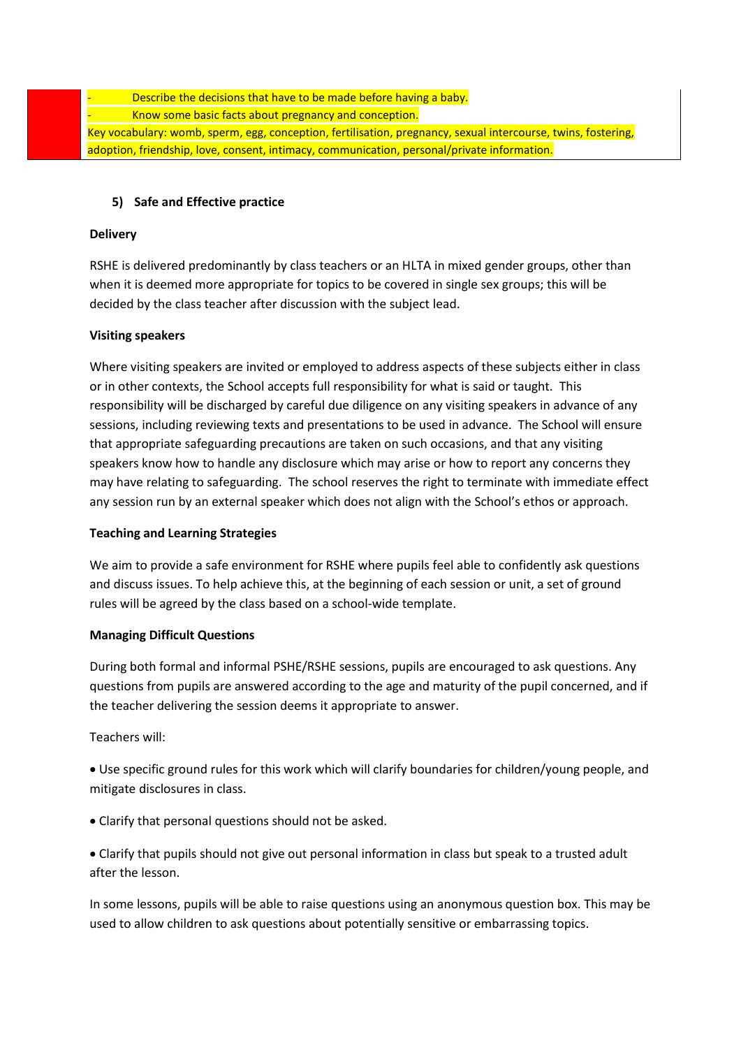Describe the decisions that have to be made before having a baby. Know some basic facts about pregnancy and conception. Key vocabulary: womb, sperm, egg, conception, fertilisation, pregnancy, sexual intercourse, twins, fostering, adoption, friendship, love, consent, intimacy, communication, personal/private information.

## **5) Safe and Effective practice**

## **Delivery**

RSHE is delivered predominantly by class teachers or an HLTA in mixed gender groups, other than when it is deemed more appropriate for topics to be covered in single sex groups; this will be decided by the class teacher after discussion with the subject lead.

## **Visiting speakers**

Where visiting speakers are invited or employed to address aspects of these subjects either in class or in other contexts, the School accepts full responsibility for what is said or taught. This responsibility will be discharged by careful due diligence on any visiting speakers in advance of any sessions, including reviewing texts and presentations to be used in advance. The School will ensure that appropriate safeguarding precautions are taken on such occasions, and that any visiting speakers know how to handle any disclosure which may arise or how to report any concerns they may have relating to safeguarding. The school reserves the right to terminate with immediate effect any session run by an external speaker which does not align with the School's ethos or approach.

## **Teaching and Learning Strategies**

We aim to provide a safe environment for RSHE where pupils feel able to confidently ask questions and discuss issues. To help achieve this, at the beginning of each session or unit, a set of ground rules will be agreed by the class based on a school-wide template.

## **Managing Difficult Questions**

During both formal and informal PSHE/RSHE sessions, pupils are encouraged to ask questions. Any questions from pupils are answered according to the age and maturity of the pupil concerned, and if the teacher delivering the session deems it appropriate to answer.

Teachers will:

 Use specific ground rules for this work which will clarify boundaries for children/young people, and mitigate disclosures in class.

Clarify that personal questions should not be asked.

 Clarify that pupils should not give out personal information in class but speak to a trusted adult after the lesson.

In some lessons, pupils will be able to raise questions using an anonymous question box. This may be used to allow children to ask questions about potentially sensitive or embarrassing topics.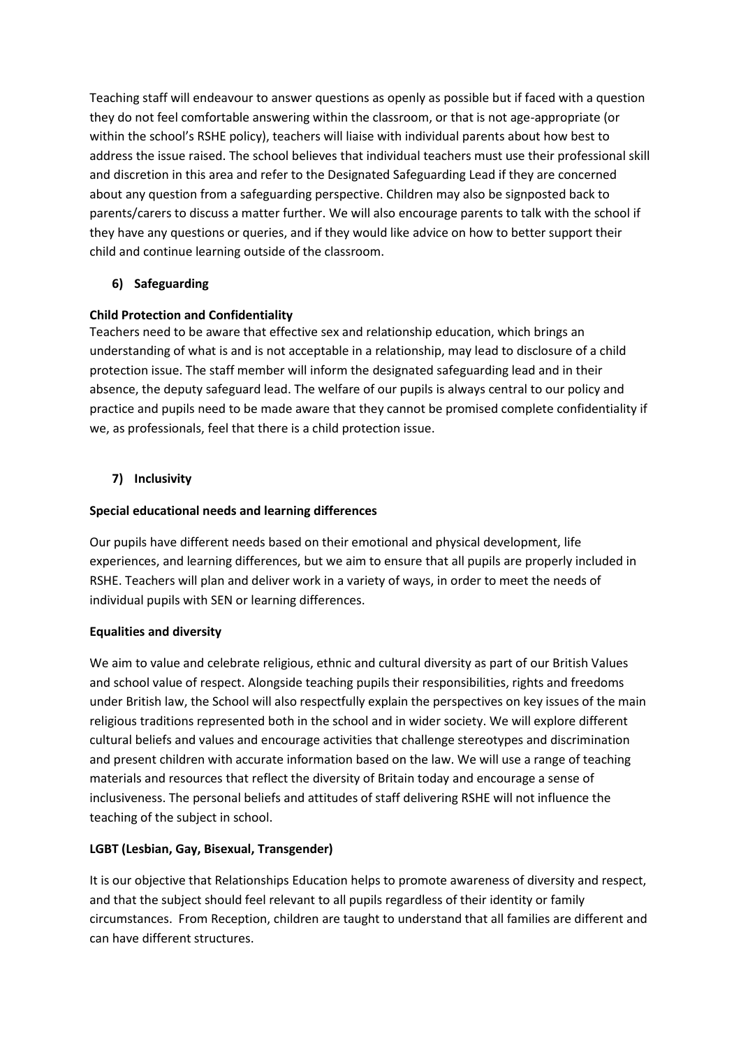Teaching staff will endeavour to answer questions as openly as possible but if faced with a question they do not feel comfortable answering within the classroom, or that is not age-appropriate (or within the school's RSHE policy), teachers will liaise with individual parents about how best to address the issue raised. The school believes that individual teachers must use their professional skill and discretion in this area and refer to the Designated Safeguarding Lead if they are concerned about any question from a safeguarding perspective. Children may also be signposted back to parents/carers to discuss a matter further. We will also encourage parents to talk with the school if they have any questions or queries, and if they would like advice on how to better support their child and continue learning outside of the classroom.

# **6) Safeguarding**

## **Child Protection and Confidentiality**

Teachers need to be aware that effective sex and relationship education, which brings an understanding of what is and is not acceptable in a relationship, may lead to disclosure of a child protection issue. The staff member will inform the designated safeguarding lead and in their absence, the deputy safeguard lead. The welfare of our pupils is always central to our policy and practice and pupils need to be made aware that they cannot be promised complete confidentiality if we, as professionals, feel that there is a child protection issue.

## **7) Inclusivity**

## **Special educational needs and learning differences**

Our pupils have different needs based on their emotional and physical development, life experiences, and learning differences, but we aim to ensure that all pupils are properly included in RSHE. Teachers will plan and deliver work in a variety of ways, in order to meet the needs of individual pupils with SEN or learning differences.

## **Equalities and diversity**

We aim to value and celebrate religious, ethnic and cultural diversity as part of our British Values and school value of respect. Alongside teaching pupils their responsibilities, rights and freedoms under British law, the School will also respectfully explain the perspectives on key issues of the main religious traditions represented both in the school and in wider society. We will explore different cultural beliefs and values and encourage activities that challenge stereotypes and discrimination and present children with accurate information based on the law. We will use a range of teaching materials and resources that reflect the diversity of Britain today and encourage a sense of inclusiveness. The personal beliefs and attitudes of staff delivering RSHE will not influence the teaching of the subject in school.

## **LGBT (Lesbian, Gay, Bisexual, Transgender)**

It is our objective that Relationships Education helps to promote awareness of diversity and respect, and that the subject should feel relevant to all pupils regardless of their identity or family circumstances. From Reception, children are taught to understand that all families are different and can have different structures.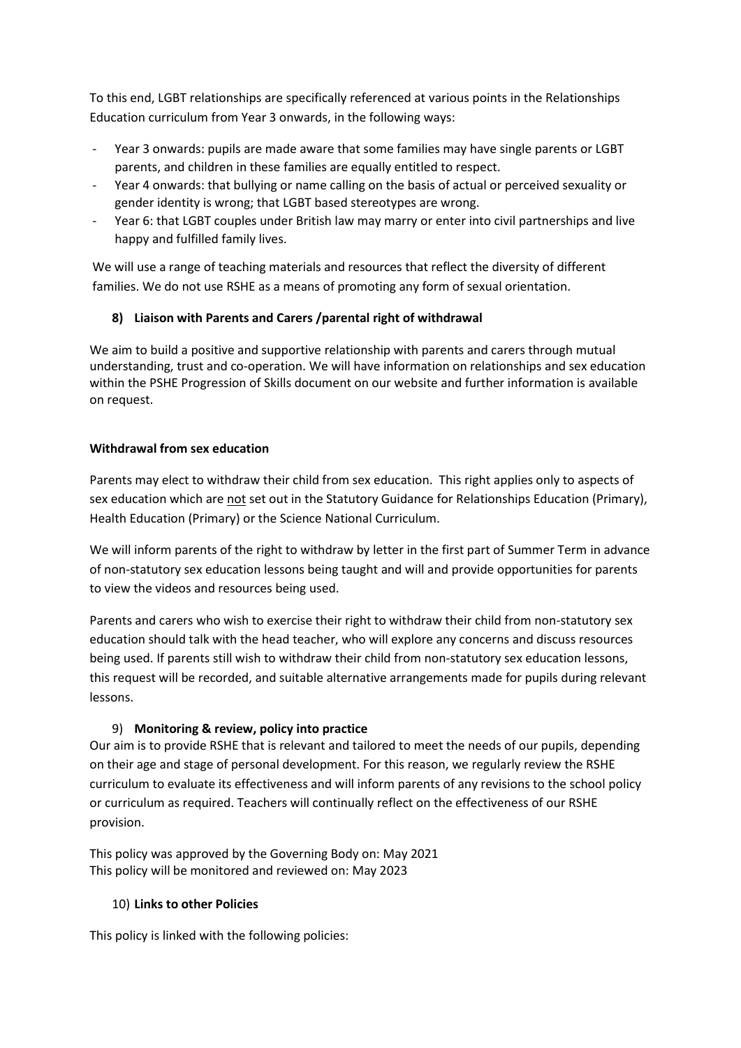To this end, LGBT relationships are specifically referenced at various points in the Relationships Education curriculum from Year 3 onwards, in the following ways:

- Year 3 onwards: pupils are made aware that some families may have single parents or LGBT parents, and children in these families are equally entitled to respect.
- Year 4 onwards: that bullying or name calling on the basis of actual or perceived sexuality or gender identity is wrong; that LGBT based stereotypes are wrong.
- Year 6: that LGBT couples under British law may marry or enter into civil partnerships and live happy and fulfilled family lives.

We will use a range of teaching materials and resources that reflect the diversity of different families. We do not use RSHE as a means of promoting any form of sexual orientation.

## **8) Liaison with Parents and Carers /parental right of withdrawal**

We aim to build a positive and supportive relationship with parents and carers through mutual understanding, trust and co-operation. We will have information on relationships and sex education within the PSHE Progression of Skills document on our website and further information is available on request.

## **Withdrawal from sex education**

Parents may elect to withdraw their child from sex education. This right applies only to aspects of sex education which are not set out in the Statutory Guidance for Relationships Education (Primary), Health Education (Primary) or the Science National Curriculum.

We will inform parents of the right to withdraw by letter in the first part of Summer Term in advance of non-statutory sex education lessons being taught and will and provide opportunities for parents to view the videos and resources being used.

Parents and carers who wish to exercise their right to withdraw their child from non-statutory sex education should talk with the head teacher, who will explore any concerns and discuss resources being used. If parents still wish to withdraw their child from non-statutory sex education lessons, this request will be recorded, and suitable alternative arrangements made for pupils during relevant lessons.

# 9) **Monitoring & review, policy into practice**

Our aim is to provide RSHE that is relevant and tailored to meet the needs of our pupils, depending on their age and stage of personal development. For this reason, we regularly review the RSHE curriculum to evaluate its effectiveness and will inform parents of any revisions to the school policy or curriculum as required. Teachers will continually reflect on the effectiveness of our RSHE provision.

This policy was approved by the Governing Body on: May 2021 This policy will be monitored and reviewed on: May 2023

# 10) **Links to other Policies**

This policy is linked with the following policies: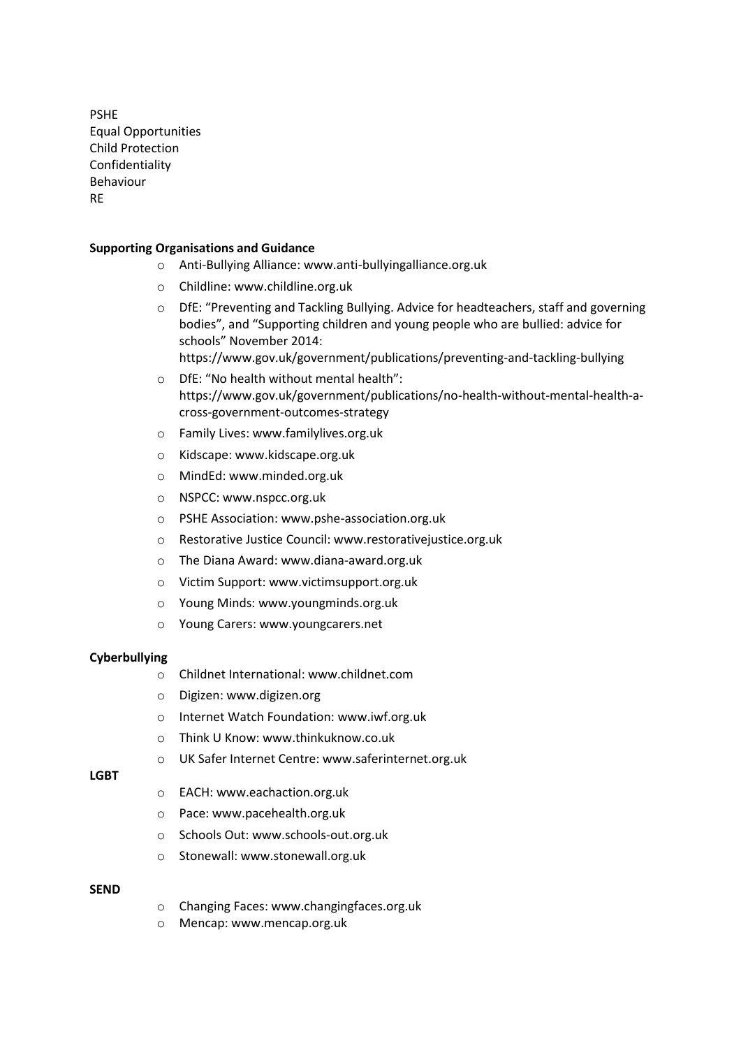PSHE Equal Opportunities Child Protection Confidentiality Behaviour RE

#### **Supporting Organisations and Guidance**

- o Anti-Bullying Alliance: www.anti-bullyingalliance.org.uk
- o Childline: www.childline.org.uk
- $\circ$  DfE: "Preventing and Tackling Bullying. Advice for headteachers, staff and governing bodies", and "Supporting children and young people who are bullied: advice for schools" November 2014: https://www.gov.uk/government/publications/preventing-and-tackling-bullying
- o DfE: "No health without mental health": https://www.gov.uk/government/publications/no-health-without-mental-health-across-government-outcomes-strategy
- o Family Lives: www.familylives.org.uk
- o Kidscape: www.kidscape.org.uk
- o MindEd: www.minded.org.uk
- o NSPCC: www.nspcc.org.uk
- o PSHE Association: www.pshe-association.org.uk
- o Restorative Justice Council: www.restorativejustice.org.uk
- o The Diana Award: www.diana-award.org.uk
- o Victim Support: www.victimsupport.org.uk
- o Young Minds: www.youngminds.org.uk
- o Young Carers: www.youngcarers.net

#### **Cyberbullying**

- o Childnet International: www.childnet.com
- o Digizen: www.digizen.org
- o Internet Watch Foundation: www.iwf.org.uk
- o Think U Know: www.thinkuknow.co.uk
- o UK Safer Internet Centre: www.saferinternet.org.uk

#### **LGBT**

- o EACH: www.eachaction.org.uk
- o Pace: www.pacehealth.org.uk
- o Schools Out: www.schools-out.org.uk
- o Stonewall: www.stonewall.org.uk

#### **SEND**

- o Changing Faces: www.changingfaces.org.uk
- o Mencap: www.mencap.org.uk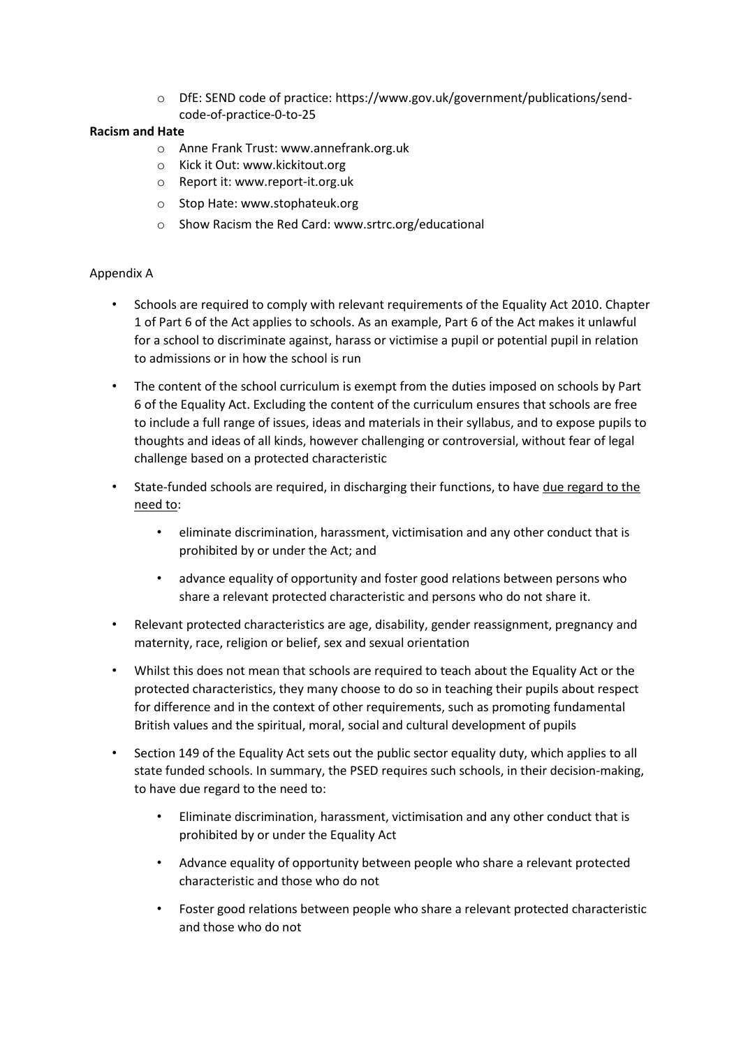o DfE: SEND code of practice: https://www.gov.uk/government/publications/sendcode-of-practice-0-to-25

## **Racism and Hate**

- o Anne Frank Trust: www.annefrank.org.uk
- o Kick it Out: www.kickitout.org
- o Report it: www.report-it.org.uk
- o Stop Hate: www.stophateuk.org
- o Show Racism the Red Card: www.srtrc.org/educational

## Appendix A

- Schools are required to comply with relevant requirements of the Equality Act 2010. Chapter 1 of Part 6 of the Act applies to schools. As an example, Part 6 of the Act makes it unlawful for a school to discriminate against, harass or victimise a pupil or potential pupil in relation to admissions or in how the school is run
- The content of the school curriculum is exempt from the duties imposed on schools by Part 6 of the Equality Act. Excluding the content of the curriculum ensures that schools are free to include a full range of issues, ideas and materials in their syllabus, and to expose pupils to thoughts and ideas of all kinds, however challenging or controversial, without fear of legal challenge based on a protected characteristic
- State-funded schools are required, in discharging their functions, to have due regard to the need to:
	- eliminate discrimination, harassment, victimisation and any other conduct that is prohibited by or under the Act; and
	- advance equality of opportunity and foster good relations between persons who share a relevant protected characteristic and persons who do not share it.
- Relevant protected characteristics are age, disability, gender reassignment, pregnancy and maternity, race, religion or belief, sex and sexual orientation
- Whilst this does not mean that schools are required to teach about the Equality Act or the protected characteristics, they many choose to do so in teaching their pupils about respect for difference and in the context of other requirements, such as promoting fundamental British values and the spiritual, moral, social and cultural development of pupils
- Section 149 of the Equality Act sets out the public sector equality duty, which applies to all state funded schools. In summary, the PSED requires such schools, in their decision-making, to have due regard to the need to:
	- Eliminate discrimination, harassment, victimisation and any other conduct that is prohibited by or under the Equality Act
	- Advance equality of opportunity between people who share a relevant protected characteristic and those who do not
	- Foster good relations between people who share a relevant protected characteristic and those who do not